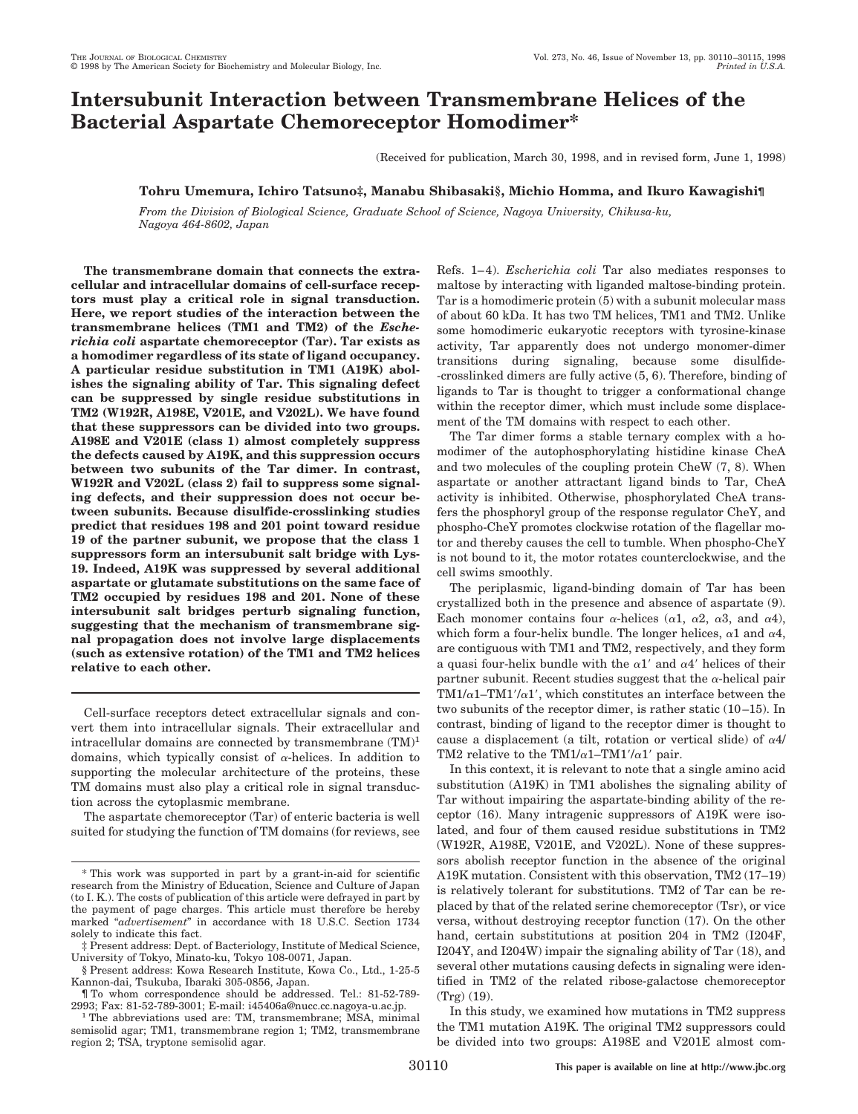# **Intersubunit Interaction between Transmembrane Helices of the Bacterial Aspartate Chemoreceptor Homodimer\***

(Received for publication, March 30, 1998, and in revised form, June 1, 1998)

# **Tohru Umemura, Ichiro Tatsuno‡, Manabu Shibasaki§, Michio Homma, and Ikuro Kawagishi¶**

*From the Division of Biological Science, Graduate School of Science, Nagoya University, Chikusa-ku, Nagoya 464-8602, Japan*

**The transmembrane domain that connects the extracellular and intracellular domains of cell-surface receptors must play a critical role in signal transduction. Here, we report studies of the interaction between the transmembrane helices (TM1 and TM2) of the** *Escherichia coli* **aspartate chemoreceptor (Tar). Tar exists as a homodimer regardless of its state of ligand occupancy. A particular residue substitution in TM1 (A19K) abolishes the signaling ability of Tar. This signaling defect can be suppressed by single residue substitutions in TM2 (W192R, A198E, V201E, and V202L). We have found that these suppressors can be divided into two groups. A198E and V201E (class 1) almost completely suppress the defects caused by A19K, and this suppression occurs between two subunits of the Tar dimer. In contrast, W192R and V202L (class 2) fail to suppress some signaling defects, and their suppression does not occur between subunits. Because disulfide-crosslinking studies predict that residues 198 and 201 point toward residue 19 of the partner subunit, we propose that the class 1 suppressors form an intersubunit salt bridge with Lys-19. Indeed, A19K was suppressed by several additional aspartate or glutamate substitutions on the same face of TM2 occupied by residues 198 and 201. None of these intersubunit salt bridges perturb signaling function, suggesting that the mechanism of transmembrane signal propagation does not involve large displacements (such as extensive rotation) of the TM1 and TM2 helices relative to each other.**

Cell-surface receptors detect extracellular signals and convert them into intracellular signals. Their extracellular and intracellular domains are connected by transmembrane  $(TM)^1$ domains, which typically consist of  $\alpha$ -helices. In addition to supporting the molecular architecture of the proteins, these TM domains must also play a critical role in signal transduction across the cytoplasmic membrane.

The aspartate chemoreceptor (Tar) of enteric bacteria is well suited for studying the function of TM domains (for reviews, see

Refs. 1–4). *Escherichia coli* Tar also mediates responses to maltose by interacting with liganded maltose-binding protein. Tar is a homodimeric protein (5) with a subunit molecular mass of about 60 kDa. It has two TM helices, TM1 and TM2. Unlike some homodimeric eukaryotic receptors with tyrosine-kinase activity, Tar apparently does not undergo monomer-dimer transitions during signaling, because some disulfide- -crosslinked dimers are fully active (5, 6). Therefore, binding of ligands to Tar is thought to trigger a conformational change within the receptor dimer, which must include some displacement of the TM domains with respect to each other.

The Tar dimer forms a stable ternary complex with a homodimer of the autophosphorylating histidine kinase CheA and two molecules of the coupling protein CheW (7, 8). When aspartate or another attractant ligand binds to Tar, CheA activity is inhibited. Otherwise, phosphorylated CheA transfers the phosphoryl group of the response regulator CheY, and phospho-CheY promotes clockwise rotation of the flagellar motor and thereby causes the cell to tumble. When phospho-CheY is not bound to it, the motor rotates counterclockwise, and the cell swims smoothly.

The periplasmic, ligand-binding domain of Tar has been crystallized both in the presence and absence of aspartate (9). Each monomer contains four  $\alpha$ -helices ( $\alpha$ 1,  $\alpha$ 2,  $\alpha$ 3, and  $\alpha$ 4), which form a four-helix bundle. The longer helices,  $\alpha$ 1 and  $\alpha$ 4, are contiguous with TM1 and TM2, respectively, and they form a quasi four-helix bundle with the  $\alpha$ 1' and  $\alpha$ 4' helices of their partner subunit. Recent studies suggest that the  $\alpha$ -helical pair  $TM1/\alpha1-TM1'/\alpha1'$ , which constitutes an interface between the two subunits of the receptor dimer, is rather static (10–15). In contrast, binding of ligand to the receptor dimer is thought to cause a displacement (a tilt, rotation or vertical slide) of  $\alpha$ 4/ TM2 relative to the TM1/ $\alpha$ 1–TM1'/ $\alpha$ 1' pair.

In this context, it is relevant to note that a single amino acid substitution (A19K) in TM1 abolishes the signaling ability of Tar without impairing the aspartate-binding ability of the receptor (16). Many intragenic suppressors of A19K were isolated, and four of them caused residue substitutions in TM2 (W192R, A198E, V201E, and V202L). None of these suppressors abolish receptor function in the absence of the original A19K mutation. Consistent with this observation, TM2 (17–19) is relatively tolerant for substitutions. TM2 of Tar can be replaced by that of the related serine chemoreceptor (Tsr), or vice versa, without destroying receptor function (17). On the other hand, certain substitutions at position 204 in TM2 (I204F, I204Y, and I204W) impair the signaling ability of Tar (18), and several other mutations causing defects in signaling were identified in TM2 of the related ribose-galactose chemoreceptor (Trg) (19).

In this study, we examined how mutations in TM2 suppress the TM1 mutation A19K. The original TM2 suppressors could be divided into two groups: A198E and V201E almost com-

<sup>\*</sup> This work was supported in part by a grant-in-aid for scientific research from the Ministry of Education, Science and Culture of Japan (to I. K.). The costs of publication of this article were defrayed in part by the payment of page charges. This article must therefore be hereby marked "*advertisement*" in accordance with 18 U.S.C. Section 1734 solely to indicate this fact.

<sup>‡</sup> Present address: Dept. of Bacteriology, Institute of Medical Science, University of Tokyo, Minato-ku, Tokyo 108-0071, Japan.

<sup>§</sup> Present address: Kowa Research Institute, Kowa Co., Ltd., 1-25-5 Kannon-dai, Tsukuba, Ibaraki 305-0856, Japan.

<sup>¶</sup> To whom correspondence should be addressed. Tel.: 81-52-789- 2993; Fax: 81-52-789-3001; E-mail: i45406a@nucc.cc.nagoya-u.ac.jp. <sup>1</sup> The abbreviations used are: TM, transmembrane; MSA, minimal

semisolid agar; TM1, transmembrane region 1; TM2, transmembrane region 2; TSA, tryptone semisolid agar.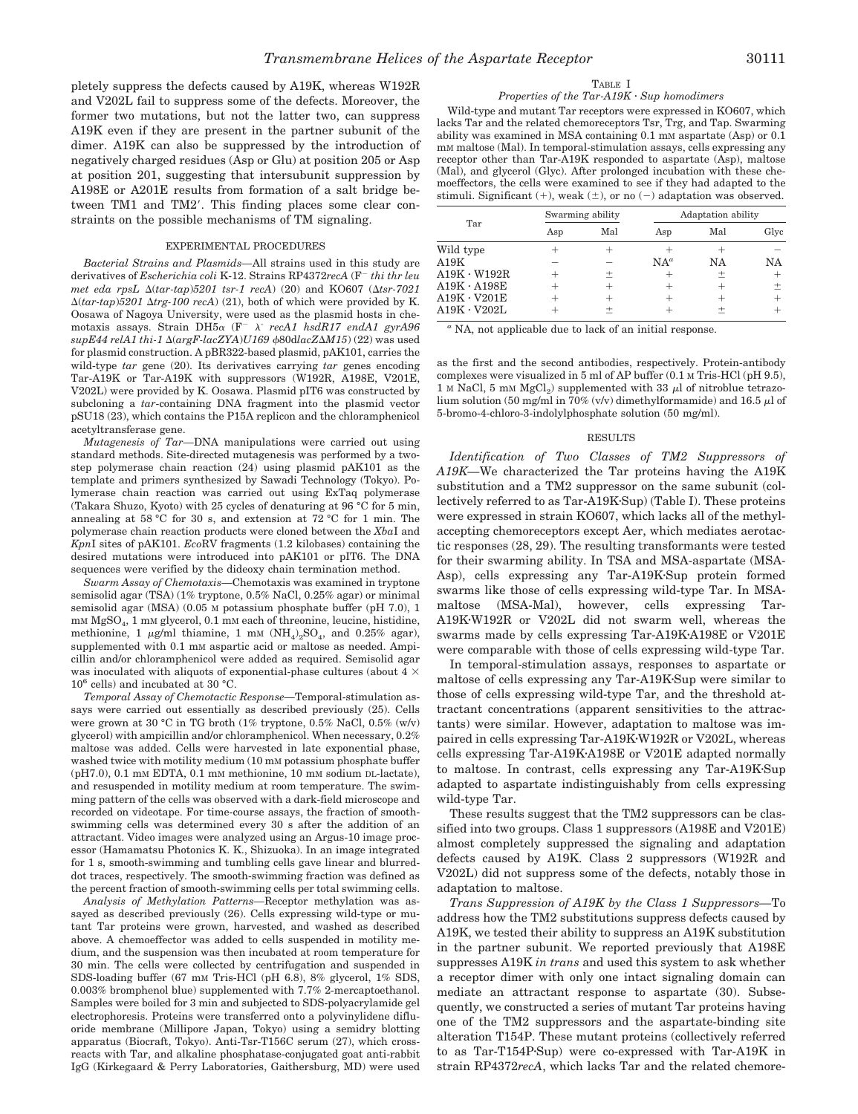pletely suppress the defects caused by A19K, whereas W192R and V202L fail to suppress some of the defects. Moreover, the former two mutations, but not the latter two, can suppress A19K even if they are present in the partner subunit of the dimer. A19K can also be suppressed by the introduction of negatively charged residues (Asp or Glu) at position 205 or Asp at position 201, suggesting that intersubunit suppression by A198E or A201E results from formation of a salt bridge between TM1 and TM2'. This finding places some clear constraints on the possible mechanisms of TM signaling.

#### EXPERIMENTAL PROCEDURES

*Bacterial Strains and Plasmids—*All strains used in this study are derivatives of *Escherichia coli* K-12. Strains RP4372*recA* (F<sup>-</sup> *thi thr leu met eda rpsL*  $\Delta(tar-tap)5201$  *tsr-1 recA*) (20) and KO607 ( $\Delta tsr-7021$  $\Delta(tar-tap)$ *5201*  $\Delta trg$ -100 recA) (21), both of which were provided by K. Oosawa of Nagoya University, were used as the plasmid hosts in chemotaxis assays. Strain DH5<sup>a</sup> (F<sup>2</sup> <sup>l</sup>- *recA1 hsdR17 endA1 gyrA96*  $supE44$  relA1 thi-1  $\Delta(argF\text{-}lacZXA)U169$   $\phi$ 80dlacZ $\Delta M15$ ) (22) was used for plasmid construction. A pBR322-based plasmid, pAK101, carries the wild-type *tar* gene (20). Its derivatives carrying *tar* genes encoding Tar-A19K or Tar-A19K with suppressors (W192R, A198E, V201E, V202L) were provided by K. Oosawa. Plasmid pIT6 was constructed by subcloning a *tar*-containing DNA fragment into the plasmid vector pSU18 (23), which contains the P15A replicon and the chloramphenicol acetyltransferase gene.

*Mutagenesis of Tar—*DNA manipulations were carried out using standard methods. Site-directed mutagenesis was performed by a twostep polymerase chain reaction (24) using plasmid pAK101 as the template and primers synthesized by Sawadi Technology (Tokyo). Polymerase chain reaction was carried out using ExTaq polymerase (Takara Shuzo, Kyoto) with 25 cycles of denaturing at 96 °C for 5 min, annealing at 58 °C for 30 s, and extension at 72 °C for 1 min. The polymerase chain reaction products were cloned between the *Xba*I and *Kpn*I sites of pAK101. *Eco*RV fragments (1.2 kilobases) containing the desired mutations were introduced into pAK101 or pIT6. The DNA sequences were verified by the dideoxy chain termination method.

*Swarm Assay of Chemotaxis—*Chemotaxis was examined in tryptone semisolid agar (TSA) (1% tryptone, 0.5% NaCl, 0.25% agar) or minimal semisolid agar (MSA) (0.05 M potassium phosphate buffer (pH 7.0), 1 mM MgSO4,1mM glycerol, 0.1 mM each of threonine, leucine, histidine, methionine, 1  $\mu$ g/ml thiamine, 1 mM (NH<sub>4</sub>)<sub>2</sub>SO<sub>4</sub>, and 0.25% agar), supplemented with 0.1 mm aspartic acid or maltose as needed. Ampicillin and/or chloramphenicol were added as required. Semisolid agar was inoculated with aliquots of exponential-phase cultures (about 4  $\times$  $10^6$  cells) and incubated at 30 °C.

*Temporal Assay of Chemotactic Response—*Temporal-stimulation assays were carried out essentially as described previously (25). Cells were grown at 30 °C in TG broth (1% tryptone, 0.5% NaCl, 0.5% (w/v) glycerol) with ampicillin and/or chloramphenicol. When necessary, 0.2% maltose was added. Cells were harvested in late exponential phase, washed twice with motility medium (10 mM potassium phosphate buffer (pH7.0), 0.1 mM EDTA, 0.1 mM methionine, 10 mM sodium DL-lactate), and resuspended in motility medium at room temperature. The swimming pattern of the cells was observed with a dark-field microscope and recorded on videotape. For time-course assays, the fraction of smoothswimming cells was determined every 30 s after the addition of an attractant. Video images were analyzed using an Argus-10 image processor (Hamamatsu Photonics K. K., Shizuoka). In an image integrated for 1 s, smooth-swimming and tumbling cells gave linear and blurreddot traces, respectively. The smooth-swimming fraction was defined as the percent fraction of smooth-swimming cells per total swimming cells.

*Analysis of Methylation Patterns—*Receptor methylation was assayed as described previously (26). Cells expressing wild-type or mutant Tar proteins were grown, harvested, and washed as described above. A chemoeffector was added to cells suspended in motility medium, and the suspension was then incubated at room temperature for 30 min. The cells were collected by centrifugation and suspended in SDS-loading buffer (67 mM Tris-HCl (pH 6.8), 8% glycerol, 1% SDS, 0.003% bromphenol blue) supplemented with 7.7% 2-mercaptoethanol. Samples were boiled for 3 min and subjected to SDS-polyacrylamide gel electrophoresis. Proteins were transferred onto a polyvinylidene difluoride membrane (Millipore Japan, Tokyo) using a semidry blotting apparatus (Biocraft, Tokyo). Anti-Tsr-T156C serum (27), which crossreacts with Tar, and alkaline phosphatase-conjugated goat anti-rabbit IgG (Kirkegaard & Perry Laboratories, Gaithersburg, MD) were used

## TABLE I

# *Properties of the Tar-A19K* · *Sup homodimers*

Wild-type and mutant Tar receptors were expressed in KO607, which lacks Tar and the related chemoreceptors Tsr, Trg, and Tap. Swarming ability was examined in MSA containing 0.1 mM aspartate (Asp) or 0.1 mM maltose (Mal). In temporal-stimulation assays, cells expressing any receptor other than Tar-A19K responded to aspartate (Asp), maltose (Mal), and glycerol (Glyc). After prolonged incubation with these chemoeffectors, the cells were examined to see if they had adapted to the stimuli. Significant  $(+)$ , weak  $(\pm)$ , or no  $(-)$  adaptation was observed.

| Tar                | Swarming ability |     | Adaptation ability |     |      |
|--------------------|------------------|-----|--------------------|-----|------|
|                    | Asp              | Mal | Asp                | Mal | Glyc |
| Wild type          |                  |     |                    |     |      |
| A19K               |                  |     | $NA^a$             | NΑ  | NΑ   |
| $A19K \cdot W192R$ |                  |     |                    | 土   |      |
| $A19K \cdot A198E$ |                  |     |                    |     |      |
| $A19K \cdot V201E$ |                  |     |                    |     |      |
| $A19K \cdot V202L$ |                  |     |                    |     |      |

*<sup>a</sup>* NA, not applicable due to lack of an initial response.

as the first and the second antibodies, respectively. Protein-antibody complexes were visualized in 5 ml of AP buffer (0.1 M Tris-HCl (pH 9.5), 1 M NaCl, 5 mM MgCl<sub>2</sub>) supplemented with 33  $\mu$ l of nitroblue tetrazolium solution (50 mg/ml in 70% (v/v) dimethylformamide) and 16.5  $\mu$ l of 5-bromo-4-chloro-3-indolylphosphate solution (50 mg/ml).

## RESULTS

*Identification of Two Classes of TM2 Suppressors of A19K—*We characterized the Tar proteins having the A19K substitution and a TM2 suppressor on the same subunit (collectively referred to as Tar-A19K·Sup) (Table I). These proteins were expressed in strain KO607, which lacks all of the methylaccepting chemoreceptors except Aer, which mediates aerotactic responses (28, 29). The resulting transformants were tested for their swarming ability. In TSA and MSA-aspartate (MSA-Asp), cells expressing any Tar-A19K·Sup protein formed swarms like those of cells expressing wild-type Tar. In MSAmaltose (MSA-Mal), however, cells expressing Tar-A19K·W192R or V202L did not swarm well, whereas the swarms made by cells expressing Tar-A19K·A198E or V201E were comparable with those of cells expressing wild-type Tar.

In temporal-stimulation assays, responses to aspartate or maltose of cells expressing any Tar-A19K·Sup were similar to those of cells expressing wild-type Tar, and the threshold attractant concentrations (apparent sensitivities to the attractants) were similar. However, adaptation to maltose was impaired in cells expressing Tar-A19K·W192R or V202L, whereas cells expressing Tar-A19K·A198E or V201E adapted normally to maltose. In contrast, cells expressing any Tar-A19K·Sup adapted to aspartate indistinguishably from cells expressing wild-type Tar.

These results suggest that the TM2 suppressors can be classified into two groups. Class 1 suppressors (A198E and V201E) almost completely suppressed the signaling and adaptation defects caused by A19K. Class 2 suppressors (W192R and V202L) did not suppress some of the defects, notably those in adaptation to maltose.

*Trans Suppression of A19K by the Class 1 Suppressors—*To address how the TM2 substitutions suppress defects caused by A19K, we tested their ability to suppress an A19K substitution in the partner subunit. We reported previously that A198E suppresses A19K *in trans* and used this system to ask whether a receptor dimer with only one intact signaling domain can mediate an attractant response to aspartate (30). Subsequently, we constructed a series of mutant Tar proteins having one of the TM2 suppressors and the aspartate-binding site alteration T154P. These mutant proteins (collectively referred to as Tar-T154P·Sup) were co-expressed with Tar-A19K in strain RP4372*recA*, which lacks Tar and the related chemore-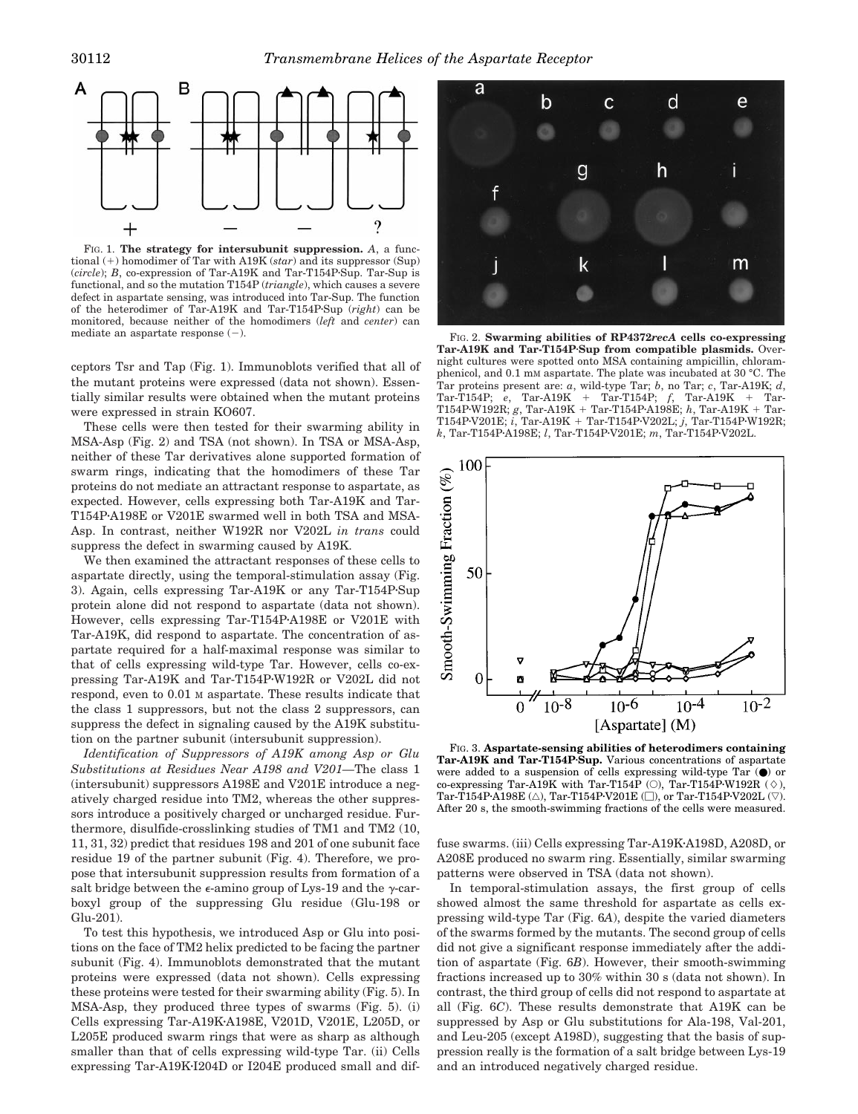

FIG. 1. **The strategy for intersubunit suppression.** *A*, a functional  $(+)$  homodimer of Tar with A19K (*star*) and its suppressor (Sup) (*circle*); *B*, co-expression of Tar-A19K and Tar-T154P·Sup. Tar-Sup is functional, and so the mutation T154P (*triangle*), which causes a severe defect in aspartate sensing, was introduced into Tar-Sup. The function of the heterodimer of Tar-A19K and Tar-T154P·Sup (*right*) can be monitored, because neither of the homodimers (*left* and *center*) can

ceptors Tsr and Tap (Fig. 1). Immunoblots verified that all of the mutant proteins were expressed (data not shown). Essentially similar results were obtained when the mutant proteins were expressed in strain KO607.

These cells were then tested for their swarming ability in MSA-Asp (Fig. 2) and TSA (not shown). In TSA or MSA-Asp, neither of these Tar derivatives alone supported formation of swarm rings, indicating that the homodimers of these Tar proteins do not mediate an attractant response to aspartate, as expected. However, cells expressing both Tar-A19K and Tar-T154P·A198E or V201E swarmed well in both TSA and MSA-Asp. In contrast, neither W192R nor V202L *in trans* could suppress the defect in swarming caused by A19K.

We then examined the attractant responses of these cells to aspartate directly, using the temporal-stimulation assay (Fig. 3). Again, cells expressing Tar-A19K or any Tar-T154P·Sup protein alone did not respond to aspartate (data not shown). However, cells expressing Tar-T154P-A198E or V201E with Tar-A19K, did respond to aspartate. The concentration of aspartate required for a half-maximal response was similar to that of cells expressing wild-type Tar. However, cells co-expressing Tar-A19K and Tar-T154P·W192R or V202L did not respond, even to 0.01 M aspartate. These results indicate that the class 1 suppressors, but not the class 2 suppressors, can suppress the defect in signaling caused by the A19K substitution on the partner subunit (intersubunit suppression).

*Identification of Suppressors of A19K among Asp or Glu Substitutions at Residues Near A198 and V201—*The class 1 (intersubunit) suppressors A198E and V201E introduce a negatively charged residue into TM2, whereas the other suppressors introduce a positively charged or uncharged residue. Furthermore, disulfide-crosslinking studies of TM1 and TM2 (10, 11, 31, 32) predict that residues 198 and 201 of one subunit face residue 19 of the partner subunit (Fig. 4). Therefore, we propose that intersubunit suppression results from formation of a salt bridge between the  $\epsilon$ -amino group of Lys-19 and the  $\gamma$ -carboxyl group of the suppressing Glu residue (Glu-198 or Glu-201).

To test this hypothesis, we introduced Asp or Glu into positions on the face of TM2 helix predicted to be facing the partner subunit (Fig. 4). Immunoblots demonstrated that the mutant proteins were expressed (data not shown). Cells expressing these proteins were tested for their swarming ability (Fig. 5). In MSA-Asp, they produced three types of swarms (Fig. 5). (i) Cells expressing Tar-A19K·A198E, V201D, V201E, L205D, or L205E produced swarm rings that were as sharp as although smaller than that of cells expressing wild-type Tar. (ii) Cells expressing Tar-A19K-I204D or I204E produced small and dif-



mediate an aspartate response  $(-)$ . The set of  $F$ <sub>IG.</sub> 2. **Swarming abilities of RP4372***recA* cells co-expressing **Tar-A19K and Tar-T154P**z**Sup from compatible plasmids.** Overnight cultures were spotted onto MSA containing ampicillin, chloramphenicol, and 0.1 mM aspartate. The plate was incubated at 30 °C. The Tar proteins present are: *a*, wild-type Tar; *b*, no Tar; *c*, Tar-A19K; *d*, Tar-T154P; *e*, Tar-A19K + Tar-T154P; *f*, Tar-A19K + Tar-T154P·W192R; *g*, Tar-A19K + Tar-T154P·A198E; *h*, Tar-A19K + Tar-T154P·V201E; *i*, Tar-A19K + Tar-T154P·V202L; *j*, Tar-T154P·W192R; *k*, Tar-T154P·A198E; *l*, Tar-T154P·V201E; *m*, Tar-T154P·V202L.



FIG. 3. **Aspartate-sensing abilities of heterodimers containing** Tar-A19K and Tar-T154P·Sup. Various concentrations of aspartate were added to a suspension of cells expressing wild-type Tar (●) or co-expressing Tar-A19K with Tar-T154P (O), Tar-T154P·W192R ( $\diamond$ ), Tar-T154P·A198E ( $\triangle$ ), Tar-T154P·V201E ( $\square$ ), or Tar-T154P·V202L ( $\triangledown$ ). After 20 s, the smooth-swimming fractions of the cells were measured.

fuse swarms. (iii) Cells expressing Tar-A19K·A198D, A208D, or A208E produced no swarm ring. Essentially, similar swarming patterns were observed in TSA (data not shown).

In temporal-stimulation assays, the first group of cells showed almost the same threshold for aspartate as cells expressing wild-type Tar (Fig. 6*A*), despite the varied diameters of the swarms formed by the mutants. The second group of cells did not give a significant response immediately after the addition of aspartate (Fig. 6*B*). However, their smooth-swimming fractions increased up to 30% within 30 s (data not shown). In contrast, the third group of cells did not respond to aspartate at all (Fig. 6*C*). These results demonstrate that A19K can be suppressed by Asp or Glu substitutions for Ala-198, Val-201, and Leu-205 (except A198D), suggesting that the basis of suppression really is the formation of a salt bridge between Lys-19 and an introduced negatively charged residue.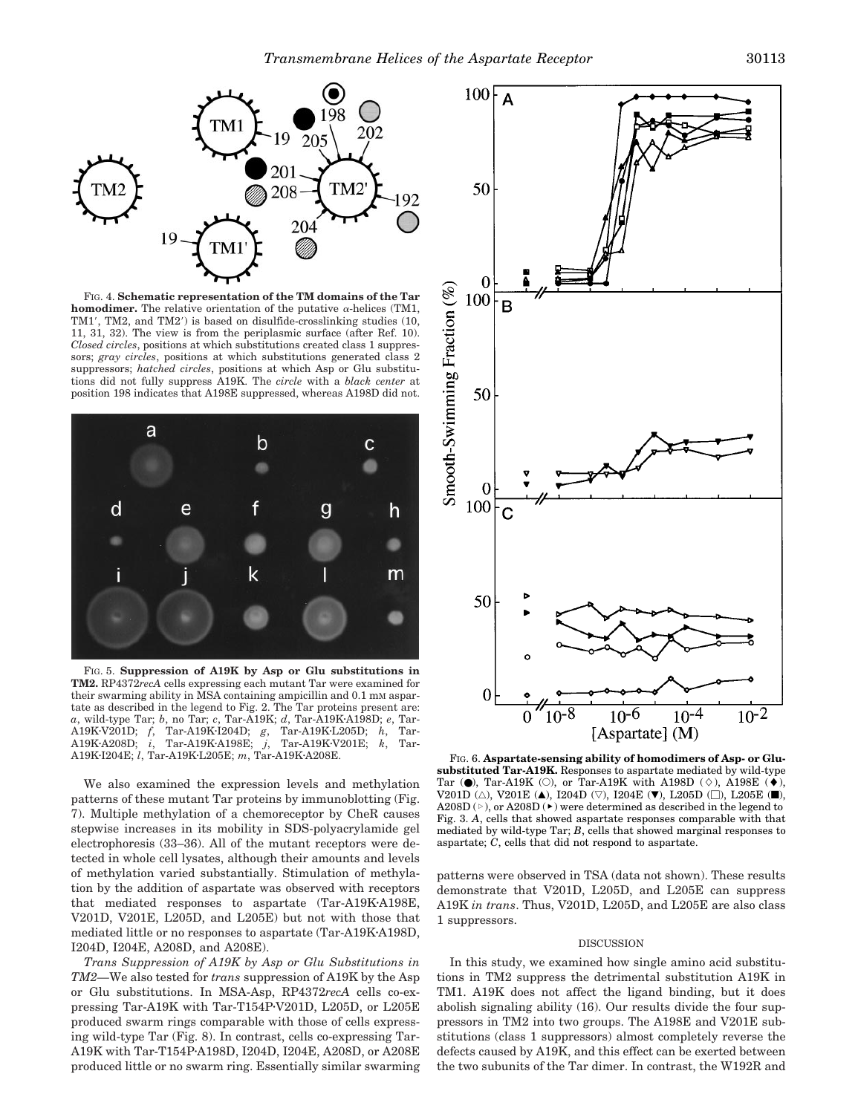

FIG. 4. **Schematic representation of the TM domains of the Tar homodimer.** The relative orientation of the putative  $\alpha$ -helices (TM1, TM1', TM2, and TM2') is based on disulfide-crosslinking studies (10, 11, 31, 32). The view is from the periplasmic surface (after Ref. 10). *Closed circles*, positions at which substitutions created class 1 suppressors; *gray circles*, positions at which substitutions generated class 2 suppressors; *hatched circles*, positions at which Asp or Glu substitutions did not fully suppress A19K. The *circle* with a *black center* at position 198 indicates that A198E suppressed, whereas A198D did not.



FIG. 5. **Suppression of A19K by Asp or Glu substitutions in TM2.** RP4372*recA* cells expressing each mutant Tar were examined for their swarming ability in MSA containing ampicillin and 0.1 mM aspartate as described in the legend to Fig. 2. The Tar proteins present are: *a*, wild-type Tar; *b*, no Tar; *c*, Tar-A19K; *d*, Tar-A19K·A198D; *e*, Tar-A19K·V201D; *f*, Tar-A19K·V205D; *h*, Tar-A19KzV201D; *f*, Tar-A19KzI204D; *g*, Tar-A19KzL205D; *h*, Tar-A19K·A208D; *i*, Tar-A19K·A198E; *j*, Tar-A19K·V201E; *k*, Tar-A19K·I204E; *l*, Tar-A19K·L205E; *m*, Tar-A19K·A208E.

We also examined the expression levels and methylation patterns of these mutant Tar proteins by immunoblotting (Fig. 7). Multiple methylation of a chemoreceptor by CheR causes stepwise increases in its mobility in SDS-polyacrylamide gel electrophoresis (33–36). All of the mutant receptors were detected in whole cell lysates, although their amounts and levels of methylation varied substantially. Stimulation of methylation by the addition of aspartate was observed with receptors that mediated responses to aspartate (Tar-A19K-A198E, V201D, V201E, L205D, and L205E) but not with those that mediated little or no responses to aspartate (Tar-A19K-A198D, I204D, I204E, A208D, and A208E).

*Trans Suppression of A19K by Asp or Glu Substitutions in TM2—*We also tested for *trans* suppression of A19K by the Asp or Glu substitutions. In MSA-Asp, RP4372*recA* cells co-expressing Tar-A19K with Tar-T154P-V201D, L205D, or  $L205E$ produced swarm rings comparable with those of cells expressing wild-type Tar (Fig. 8). In contrast, cells co-expressing Tar-A19K with Tar-T154P·A198D, I204D, I204E, A208D, or A208E produced little or no swarm ring. Essentially similar swarming



FIG. 6. Aspartate-sensing ability of homodimers of Asp- or Glu**substituted Tar-A19K.** Responses to aspartate mediated by wild-type Tar ( $\bullet$ ), Tar-A19K (O), or Tar-A19K with A198D ( $\diamond$ ), A198E ( $\bullet$ ), V201D ( $\triangle$ ), V201E ( $\blacktriangle$ ), I204D ( $\triangledown$ ), I204E ( $\nabla$ ), L205D ( $\square$ ), L205E ( $\square$ ), A208D ( $\triangleright$ ), or A208D ( $\triangleright$ ) were determined as described in the legend to Fig. 3. *A*, cells that showed aspartate responses comparable with that mediated by wild-type Tar; *B*, cells that showed marginal responses to aspartate; *C*, cells that did not respond to aspartate.

patterns were observed in TSA (data not shown). These results demonstrate that V201D, L205D, and L205E can suppress A19K *in trans*. Thus, V201D, L205D, and L205E are also class 1 suppressors.

# DISCUSSION

In this study, we examined how single amino acid substitutions in TM2 suppress the detrimental substitution A19K in TM1. A19K does not affect the ligand binding, but it does abolish signaling ability (16). Our results divide the four suppressors in TM2 into two groups. The A198E and V201E substitutions (class 1 suppressors) almost completely reverse the defects caused by A19K, and this effect can be exerted between the two subunits of the Tar dimer. In contrast, the W192R and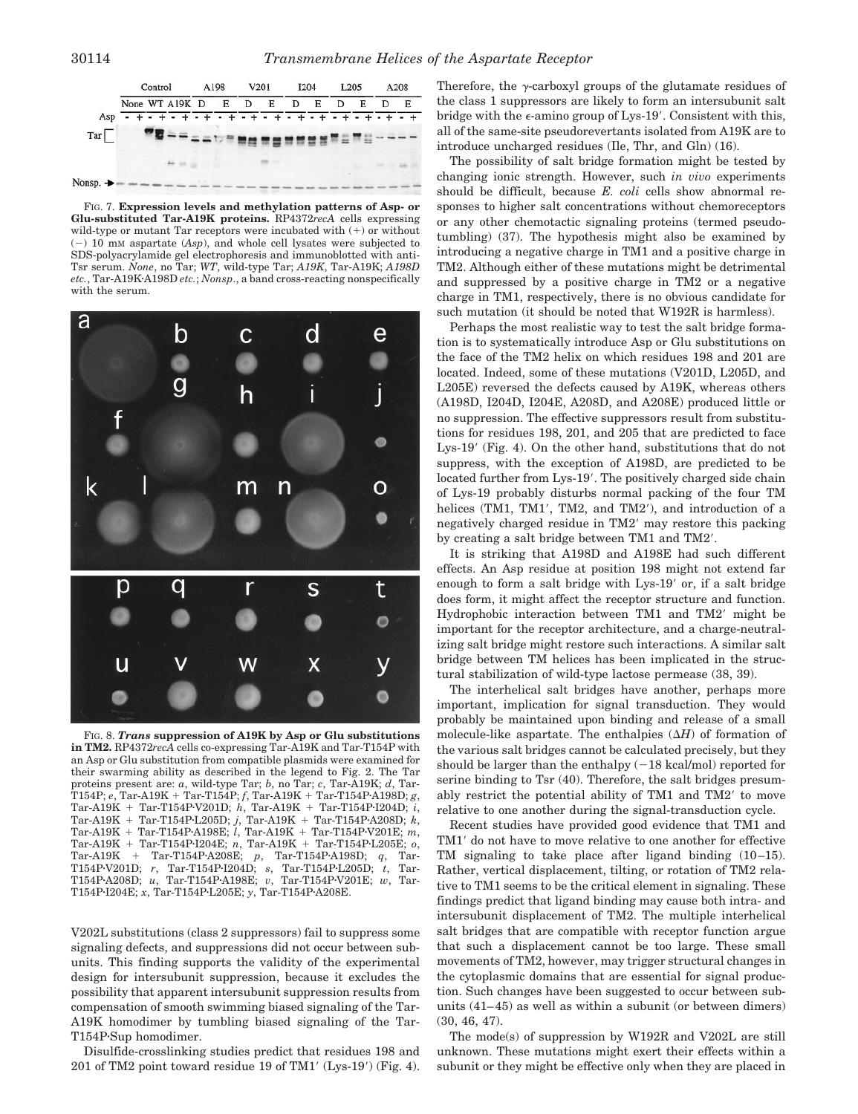

FIG. 7. **Expression levels and methylation patterns of Asp- or Glu-substituted Tar-A19K proteins.** RP4372*recA* cells expressing wild-type or mutant Tar receptors were incubated with  $(+)$  or without  $(-)$  10 mM aspartate  $(Asp)$ , and whole cell lysates were subjected to SDS-polyacrylamide gel electrophoresis and immunoblotted with anti-Tsr serum. *None*, no Tar; *WT*, wild-type Tar; *A19K*, Tar-A19K; *A198D etc.*, Tar-A19K·A198D *etc.*; *Nonsp.*, a band cross-reacting nonspecifically with the serum.



FIG. 8. *Trans* **suppression of A19K by Asp or Glu substitutions in TM2.** RP4372*recA* cells co-expressing Tar-A19K and Tar-T154P with an Asp or Glu substitution from compatible plasmids were examined for their swarming ability as described in the legend to Fig. 2. The Tar proteins present are: *a*, wild-type Tar; *b*, no Tar; *c*, Tar-A19K; *d*, Tar- $T154P; e, Tar-A19K + Tar-T154P; f, Tar-A19K + Tar-T154P·A198D; g,$ Tar-A19K + Tar-T154P·V201D; *h*, Tar-A19K + Tar-T154P·I204D; *i*,  $\text{Tar-A19K} + \text{Tar-T154P·L205D}; j, \text{Tar-A19K} + \text{Tar-T154P·A208D}; k,$ Tar-A19K + Tar-T154P·A198E; *l*, Tar-A19K + Tar-T154P·V201E; *m*,  $\label{eq:7.1} \text{Tar-A19K + Tar-T154P-I204E; } n, \text{ Tar-A19K + Tar-T154P-L205E; } o,$ Tar-A19K + Tar-T154P·A208E; *p*, Tar-T154P·A198D; *q*, Tar-T154P·V201D; *r*, Tar-T154P·I204D; *s*, Tar-T154P·L205D; *t*, Tar-T154P·A208D; *u*, Tar-T154P·A198E; *v*, Tar-T154P·V201E; *w*, Tar-T154P·I204E; *x*, Tar-T154P·L205E; *y*, Tar-T154P·A208E.

V202L substitutions (class 2 suppressors) fail to suppress some signaling defects, and suppressions did not occur between subunits. This finding supports the validity of the experimental design for intersubunit suppression, because it excludes the possibility that apparent intersubunit suppression results from compensation of smooth swimming biased signaling of the Tar-A19K homodimer by tumbling biased signaling of the Tar-T154P·Sup homodimer.

Disulfide-crosslinking studies predict that residues 198 and 201 of TM2 point toward residue 19 of TM1 $'(Lys-19')$  (Fig. 4). Therefore, the  $\gamma$ -carboxyl groups of the glutamate residues of the class 1 suppressors are likely to form an intersubunit salt bridge with the  $\epsilon$ -amino group of Lys-19'. Consistent with this, all of the same-site pseudorevertants isolated from A19K are to introduce uncharged residues (Ile, Thr, and Gln) (16).

The possibility of salt bridge formation might be tested by changing ionic strength. However, such *in vivo* experiments should be difficult, because *E. coli* cells show abnormal responses to higher salt concentrations without chemoreceptors or any other chemotactic signaling proteins (termed pseudotumbling) (37). The hypothesis might also be examined by introducing a negative charge in TM1 and a positive charge in TM2. Although either of these mutations might be detrimental and suppressed by a positive charge in TM2 or a negative charge in TM1, respectively, there is no obvious candidate for such mutation (it should be noted that W192R is harmless).

Perhaps the most realistic way to test the salt bridge formation is to systematically introduce Asp or Glu substitutions on the face of the TM2 helix on which residues 198 and 201 are located. Indeed, some of these mutations (V201D, L205D, and L205E) reversed the defects caused by A19K, whereas others (A198D, I204D, I204E, A208D, and A208E) produced little or no suppression. The effective suppressors result from substitutions for residues 198, 201, and 205 that are predicted to face Lys-19' (Fig. 4). On the other hand, substitutions that do not suppress, with the exception of A198D, are predicted to be located further from Lys-19'. The positively charged side chain of Lys-19 probably disturbs normal packing of the four TM helices (TM1, TM1', TM2, and TM2'), and introduction of a negatively charged residue in TM2<sup>'</sup> may restore this packing by creating a salt bridge between TM1 and TM2'.

It is striking that A198D and A198E had such different effects. An Asp residue at position 198 might not extend far enough to form a salt bridge with Lys-19' or, if a salt bridge does form, it might affect the receptor structure and function. Hydrophobic interaction between TM1 and TM2' might be important for the receptor architecture, and a charge-neutralizing salt bridge might restore such interactions. A similar salt bridge between TM helices has been implicated in the structural stabilization of wild-type lactose permease (38, 39).

The interhelical salt bridges have another, perhaps more important, implication for signal transduction. They would probably be maintained upon binding and release of a small molecule-like aspartate. The enthalpies  $(\Delta H)$  of formation of the various salt bridges cannot be calculated precisely, but they should be larger than the enthalpy  $(-18 \text{ kcal/mol})$  reported for serine binding to Tsr (40). Therefore, the salt bridges presumably restrict the potential ability of TM1 and TM2' to move relative to one another during the signal-transduction cycle.

Recent studies have provided good evidence that TM1 and TM1' do not have to move relative to one another for effective TM signaling to take place after ligand binding  $(10-15)$ . Rather, vertical displacement, tilting, or rotation of TM2 relative to TM1 seems to be the critical element in signaling. These findings predict that ligand binding may cause both intra- and intersubunit displacement of TM2. The multiple interhelical salt bridges that are compatible with receptor function argue that such a displacement cannot be too large. These small movements of TM2, however, may trigger structural changes in the cytoplasmic domains that are essential for signal production. Such changes have been suggested to occur between subunits (41–45) as well as within a subunit (or between dimers) (30, 46, 47).

The mode(s) of suppression by W192R and V202L are still unknown. These mutations might exert their effects within a subunit or they might be effective only when they are placed in